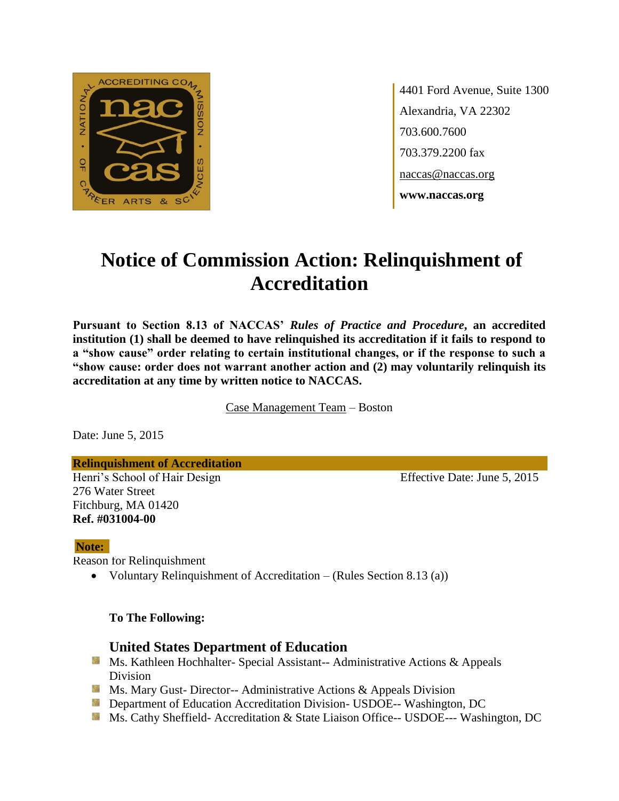

4401 Ford Avenue, Suite 1300 Alexandria, VA 22302 703.600.7600 703.379.2200 fax naccas@naccas.org **www.naccas.org**

# **Notice of Commission Action: Relinquishment of Accreditation**

**Pursuant to Section 8.13 of NACCAS'** *Rules of Practice and Procedure***, an accredited institution (1) shall be deemed to have relinquished its accreditation if it fails to respond to a "show cause" order relating to certain institutional changes, or if the response to such a "show cause: order does not warrant another action and (2) may voluntarily relinquish its accreditation at any time by written notice to NACCAS.**

Case Management Team – Boston

Date: June 5, 2015

#### **Relinquishment of Accreditation**

Henri's School of Hair Design Effective Date: June 5, 2015 276 Water Street Fitchburg, MA 01420 **Ref. #031004-00**

#### **Note:**

Reason for Relinquishment

• Voluntary Relinquishment of Accreditation – (Rules Section 8.13 (a))

**To The Following:**

### **United States Department of Education**

- Ms. Kathleen Hochhalter- Special Assistant-- Administrative Actions & Appeals Division
- **Ms.** Mary Gust-Director-- Administrative Actions  $\&$  Appeals Division
- **Department of Education Accreditation Division- USDOE-- Washington, DC**
- Ms. Cathy Sheffield- Accreditation & State Liaison Office-- USDOE--- Washington, DC